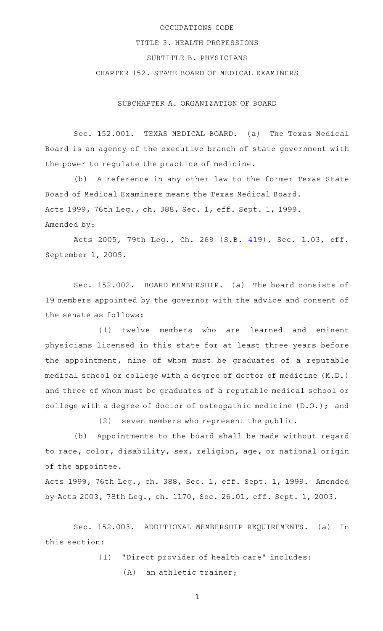## OCCUPATIONS CODE

## TITLE 3. HEALTH PROFESSIONS

## SUBTITLE B. PHYSICIANS

## CHAPTER 152. STATE BOARD OF MEDICAL EXAMINERS

SUBCHAPTER A. ORGANIZATION OF BOARD

Sec. 152.001. TEXAS MEDICAL BOARD. (a) The Texas Medical Board is an agency of the executive branch of state government with the power to regulate the practice of medicine.

(b) A reference in any other law to the former Texas State Board of Medical Examiners means the Texas Medical Board. Acts 1999, 76th Leg., ch. 388, Sec. 1, eff. Sept. 1, 1999. Amended by:

Acts 2005, 79th Leg., Ch. 269 (S.B. [419](http://www.legis.state.tx.us/tlodocs/79R/billtext/html/SB00419F.HTM)), Sec. 1.03, eff. September 1, 2005.

Sec. 152.002. BOARD MEMBERSHIP. (a) The board consists of 19 members appointed by the governor with the advice and consent of the senate as follows:

(1) twelve members who are learned and eminent physicians licensed in this state for at least three years before the appointment, nine of whom must be graduates of a reputable medical school or college with a degree of doctor of medicine (M.D.) and three of whom must be graduates of a reputable medical school or college with a degree of doctor of osteopathic medicine (D.O.); and

 $(2)$  seven members who represent the public.

(b) Appointments to the board shall be made without regard to race, color, disability, sex, religion, age, or national origin of the appointee.

Acts 1999, 76th Leg., ch. 388, Sec. 1, eff. Sept. 1, 1999. Amended by Acts 2003, 78th Leg., ch. 1170, Sec. 26.01, eff. Sept. 1, 2003.

Sec. 152.003. ADDITIONAL MEMBERSHIP REQUIREMENTS. (a) In this section:

(1) "Direct provider of health care" includes:

 $(A)$  an athletic trainer;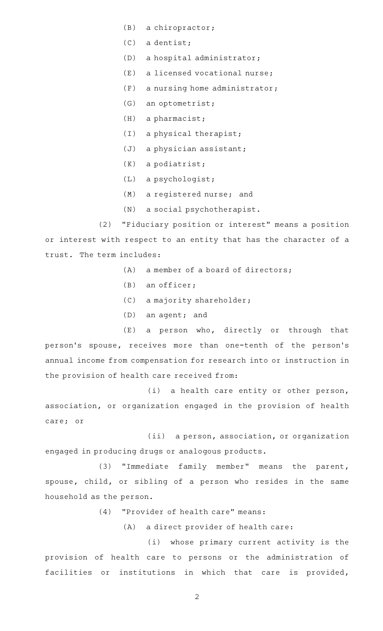- $(B)$  a chiropractor;
- $(C)$  a dentist;
- (D) a hospital administrator;
- $(E)$  a licensed vocational nurse;
- $(F)$  a nursing home administrator;
- $(G)$  an optometrist;
- $(H)$  a pharmacist;
- $(I)$  a physical therapist;
- $(J)$  a physician assistant;
- $(K)$  a podiatrist;
- $(L)$  a psychologist;
- (M) a registered nurse; and
- (N) a social psychotherapist.

(2) "Fiduciary position or interest" means a position or interest with respect to an entity that has the character of a trust. The term includes:

- $(A)$  a member of a board of directors;
- $(B)$  an officer;
- (C) a majority shareholder;
- $(D)$  an agent; and

 $(E)$  a person who, directly or through that person's spouse, receives more than one-tenth of the person's annual income from compensation for research into or instruction in the provision of health care received from:

 $(i)$  a health care entity or other person, association, or organization engaged in the provision of health care; or

(ii) a person, association, or organization engaged in producing drugs or analogous products.

(3) "Immediate family member" means the parent, spouse, child, or sibling of a person who resides in the same household as the person.

- (4) "Provider of health care" means:
	- (A) a direct provider of health care:

(i) whose primary current activity is the provision of health care to persons or the administration of facilities or institutions in which that care is provided,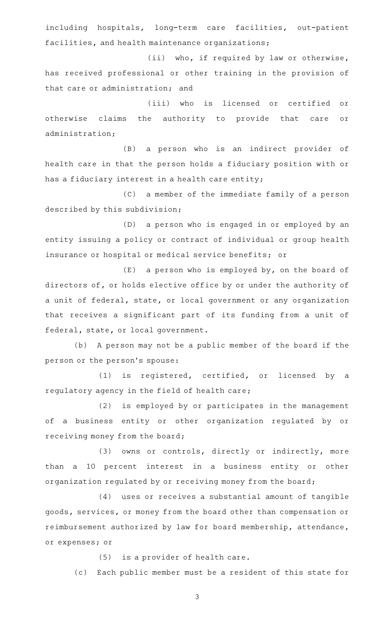including hospitals, long-term care facilities, out-patient facilities, and health maintenance organizations;

(ii) who, if required by law or otherwise, has received professional or other training in the provision of that care or administration; and

(iii) who is licensed or certified or otherwise claims the authority to provide that care or administration;

(B) a person who is an indirect provider of health care in that the person holds a fiduciary position with or has a fiduciary interest in a health care entity;

(C) a member of the immediate family of a person described by this subdivision;

(D) a person who is engaged in or employed by an entity issuing a policy or contract of individual or group health insurance or hospital or medical service benefits; or

 $(E)$  a person who is employed by, on the board of directors of, or holds elective office by or under the authority of a unit of federal, state, or local government or any organization that receives a significant part of its funding from a unit of federal, state, or local government.

(b) A person may not be a public member of the board if the person or the person 's spouse:

 $(1)$  is registered, certified, or licensed by a regulatory agency in the field of health care;

(2) is employed by or participates in the management of a business entity or other organization regulated by or receiving money from the board;

(3) owns or controls, directly or indirectly, more than a 10 percent interest in a business entity or other organization regulated by or receiving money from the board;

(4) uses or receives a substantial amount of tangible goods, services, or money from the board other than compensation or reimbursement authorized by law for board membership, attendance, or expenses; or

 $(5)$  is a provider of health care.

(c) Each public member must be a resident of this state for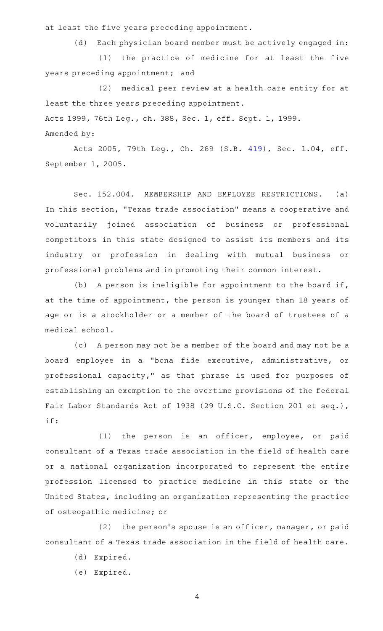at least the five years preceding appointment.

(d) Each physician board member must be actively engaged in: (1) the practice of medicine for at least the five years preceding appointment; and

(2) medical peer review at a health care entity for at least the three years preceding appointment.

Acts 1999, 76th Leg., ch. 388, Sec. 1, eff. Sept. 1, 1999.

Amended by:

Acts 2005, 79th Leg., Ch. 269 (S.B. [419](http://www.legis.state.tx.us/tlodocs/79R/billtext/html/SB00419F.HTM)), Sec. 1.04, eff. September 1, 2005.

Sec. 152.004. MEMBERSHIP AND EMPLOYEE RESTRICTIONS. (a) In this section, "Texas trade association" means a cooperative and voluntarily joined association of business or professional competitors in this state designed to assist its members and its industry or profession in dealing with mutual business or professional problems and in promoting their common interest.

(b) A person is ineligible for appointment to the board if, at the time of appointment, the person is younger than 18 years of age or is a stockholder or a member of the board of trustees of a medical school.

(c) A person may not be a member of the board and may not be a board employee in a "bona fide executive, administrative, or professional capacity," as that phrase is used for purposes of establishing an exemption to the overtime provisions of the federal Fair Labor Standards Act of 1938 (29 U.S.C. Section 201 et seq.), if:

(1) the person is an officer, employee, or paid consultant of a Texas trade association in the field of health care or a national organization incorporated to represent the entire profession licensed to practice medicine in this state or the United States, including an organization representing the practice of osteopathic medicine; or

 $(2)$  the person's spouse is an officer, manager, or paid consultant of a Texas trade association in the field of health care.

- (d) Expired.
- (e) Expired.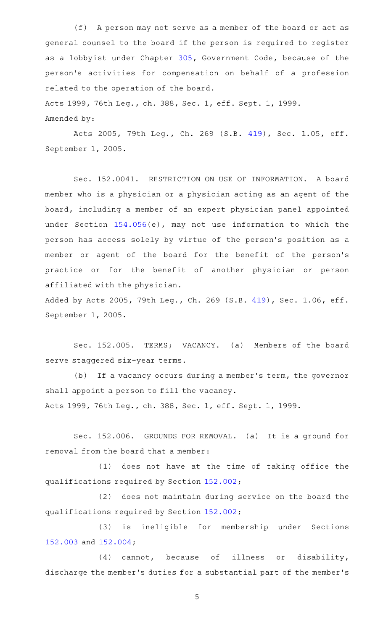(f) A person may not serve as a member of the board or act as general counsel to the board if the person is required to register as a lobbyist under Chapter [305](http://www.statutes.legis.state.tx.us/GetStatute.aspx?Code=GV&Value=305), Government Code, because of the person 's activities for compensation on behalf of a profession related to the operation of the board.

Acts 1999, 76th Leg., ch. 388, Sec. 1, eff. Sept. 1, 1999. Amended by:

Acts 2005, 79th Leg., Ch. 269 (S.B. [419](http://www.legis.state.tx.us/tlodocs/79R/billtext/html/SB00419F.HTM)), Sec. 1.05, eff. September 1, 2005.

Sec. 152.0041. RESTRICTION ON USE OF INFORMATION. A board member who is a physician or a physician acting as an agent of the board, including a member of an expert physician panel appointed under Section [154.056\(](http://www.statutes.legis.state.tx.us/GetStatute.aspx?Code=OC&Value=154.056)e), may not use information to which the person has access solely by virtue of the person's position as a member or agent of the board for the benefit of the person's practice or for the benefit of another physician or person affiliated with the physician.

Added by Acts 2005, 79th Leg., Ch. 269 (S.B. [419](http://www.legis.state.tx.us/tlodocs/79R/billtext/html/SB00419F.HTM)), Sec. 1.06, eff. September 1, 2005.

Sec. 152.005. TERMS; VACANCY. (a) Members of the board serve staggered six-year terms.

(b) If a vacancy occurs during a member's term, the governor shall appoint a person to fill the vacancy. Acts 1999, 76th Leg., ch. 388, Sec. 1, eff. Sept. 1, 1999.

Sec. 152.006. GROUNDS FOR REMOVAL. (a) It is a ground for removal from the board that a member:

(1) does not have at the time of taking office the qualifications required by Section [152.002;](http://www.statutes.legis.state.tx.us/GetStatute.aspx?Code=OC&Value=152.002)

(2) does not maintain during service on the board the qualifications required by Section [152.002;](http://www.statutes.legis.state.tx.us/GetStatute.aspx?Code=OC&Value=152.002)

(3) is ineligible for membership under Sections [152.003](http://www.statutes.legis.state.tx.us/GetStatute.aspx?Code=OC&Value=152.003) and [152.004](http://www.statutes.legis.state.tx.us/GetStatute.aspx?Code=OC&Value=152.004);

 $(4)$  cannot, because of illness or disability, discharge the member 's duties for a substantial part of the member 's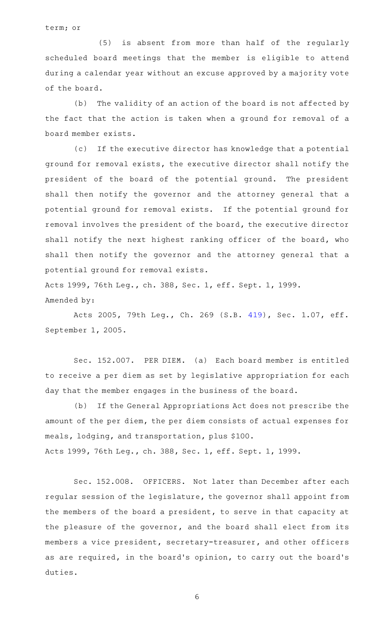term; or

(5) is absent from more than half of the regularly scheduled board meetings that the member is eligible to attend during a calendar year without an excuse approved by a majority vote of the board.

(b) The validity of an action of the board is not affected by the fact that the action is taken when a ground for removal of a board member exists.

(c) If the executive director has knowledge that a potential ground for removal exists, the executive director shall notify the president of the board of the potential ground. The president shall then notify the governor and the attorney general that a potential ground for removal exists. If the potential ground for removal involves the president of the board, the executive director shall notify the next highest ranking officer of the board, who shall then notify the governor and the attorney general that a potential ground for removal exists.

Acts 1999, 76th Leg., ch. 388, Sec. 1, eff. Sept. 1, 1999. Amended by:

Acts 2005, 79th Leg., Ch. 269 (S.B. [419](http://www.legis.state.tx.us/tlodocs/79R/billtext/html/SB00419F.HTM)), Sec. 1.07, eff. September 1, 2005.

Sec. 152.007. PER DIEM. (a) Each board member is entitled to receive a per diem as set by legislative appropriation for each day that the member engages in the business of the board.

(b) If the General Appropriations Act does not prescribe the amount of the per diem, the per diem consists of actual expenses for meals, lodging, and transportation, plus \$100. Acts 1999, 76th Leg., ch. 388, Sec. 1, eff. Sept. 1, 1999.

Sec. 152.008. OFFICERS. Not later than December after each regular session of the legislature, the governor shall appoint from the members of the board a president, to serve in that capacity at the pleasure of the governor, and the board shall elect from its members a vice president, secretary-treasurer, and other officers as are required, in the board's opinion, to carry out the board's duties.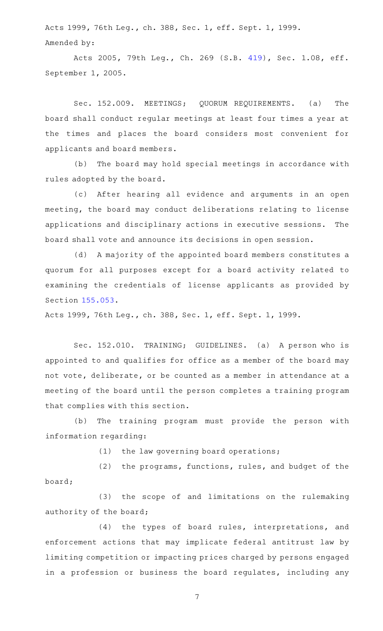Acts 1999, 76th Leg., ch. 388, Sec. 1, eff. Sept. 1, 1999. Amended by:

Acts 2005, 79th Leg., Ch. 269 (S.B. [419](http://www.legis.state.tx.us/tlodocs/79R/billtext/html/SB00419F.HTM)), Sec. 1.08, eff. September 1, 2005.

Sec. 152.009. MEETINGS; QUORUM REQUIREMENTS. (a) The board shall conduct regular meetings at least four times a year at the times and places the board considers most convenient for applicants and board members.

(b) The board may hold special meetings in accordance with rules adopted by the board.

(c) After hearing all evidence and arguments in an open meeting, the board may conduct deliberations relating to license applications and disciplinary actions in executive sessions. The board shall vote and announce its decisions in open session.

(d) A majority of the appointed board members constitutes a quorum for all purposes except for a board activity related to examining the credentials of license applicants as provided by Section [155.053.](http://www.statutes.legis.state.tx.us/GetStatute.aspx?Code=OC&Value=155.053)

Acts 1999, 76th Leg., ch. 388, Sec. 1, eff. Sept. 1, 1999.

Sec. 152.010. TRAINING; GUIDELINES. (a) A person who is appointed to and qualifies for office as a member of the board may not vote, deliberate, or be counted as a member in attendance at a meeting of the board until the person completes a training program that complies with this section.

(b) The training program must provide the person with information regarding:

 $(1)$  the law governing board operations;

(2) the programs, functions, rules, and budget of the board;

(3) the scope of and limitations on the rulemaking authority of the board;

(4) the types of board rules, interpretations, and enforcement actions that may implicate federal antitrust law by limiting competition or impacting prices charged by persons engaged in a profession or business the board regulates, including any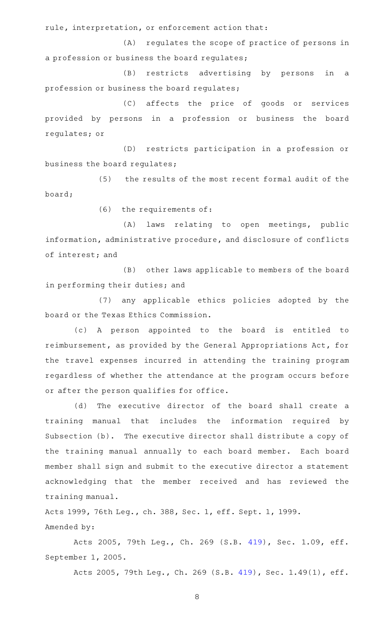rule, interpretation, or enforcement action that:

(A) regulates the scope of practice of persons in a profession or business the board regulates;

(B) restricts advertising by persons in a profession or business the board regulates;

(C) affects the price of goods or services provided by persons in a profession or business the board regulates; or

(D) restricts participation in a profession or business the board regulates;

(5) the results of the most recent formal audit of the board;

 $(6)$  the requirements of:

(A) laws relating to open meetings, public information, administrative procedure, and disclosure of conflicts of interest; and

(B) other laws applicable to members of the board in performing their duties; and

(7) any applicable ethics policies adopted by the board or the Texas Ethics Commission.

(c)AAA person appointed to the board is entitled to reimbursement, as provided by the General Appropriations Act, for the travel expenses incurred in attending the training program regardless of whether the attendance at the program occurs before or after the person qualifies for office.

(d) The executive director of the board shall create a training manual that includes the information required by Subsection (b). The executive director shall distribute a copy of the training manual annually to each board member. Each board member shall sign and submit to the executive director a statement acknowledging that the member received and has reviewed the training manual.

Acts 1999, 76th Leg., ch. 388, Sec. 1, eff. Sept. 1, 1999. Amended by:

Acts 2005, 79th Leg., Ch. 269 (S.B. [419](http://www.legis.state.tx.us/tlodocs/79R/billtext/html/SB00419F.HTM)), Sec. 1.09, eff. September 1, 2005.

Acts 2005, 79th Leg., Ch. 269 (S.B. [419](http://www.legis.state.tx.us/tlodocs/79R/billtext/html/SB00419F.HTM)), Sec. 1.49(1), eff.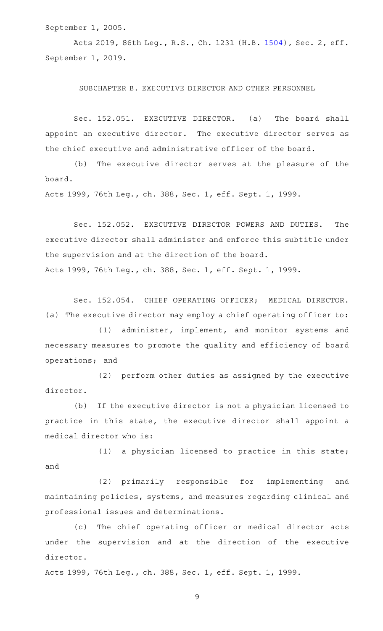September 1, 2005.

Acts 2019, 86th Leg., R.S., Ch. 1231 (H.B. [1504](http://www.legis.state.tx.us/tlodocs/86R/billtext/html/HB01504F.HTM)), Sec. 2, eff. September 1, 2019.

SUBCHAPTER B. EXECUTIVE DIRECTOR AND OTHER PERSONNEL

Sec. 152.051. EXECUTIVE DIRECTOR. (a) The board shall appoint an executive director. The executive director serves as the chief executive and administrative officer of the board.

(b) The executive director serves at the pleasure of the board.

Acts 1999, 76th Leg., ch. 388, Sec. 1, eff. Sept. 1, 1999.

Sec. 152.052. EXECUTIVE DIRECTOR POWERS AND DUTIES. The executive director shall administer and enforce this subtitle under the supervision and at the direction of the board.

Acts 1999, 76th Leg., ch. 388, Sec. 1, eff. Sept. 1, 1999.

Sec. 152.054. CHIEF OPERATING OFFICER; MEDICAL DIRECTOR. (a) The executive director may employ a chief operating officer to:

(1) administer, implement, and monitor systems and necessary measures to promote the quality and efficiency of board operations; and

(2) perform other duties as assigned by the executive director.

(b) If the executive director is not a physician licensed to practice in this state, the executive director shall appoint a medical director who is:

 $(1)$  a physician licensed to practice in this state; and

(2) primarily responsible for implementing and maintaining policies, systems, and measures regarding clinical and professional issues and determinations.

(c) The chief operating officer or medical director acts under the supervision and at the direction of the executive director.

Acts 1999, 76th Leg., ch. 388, Sec. 1, eff. Sept. 1, 1999.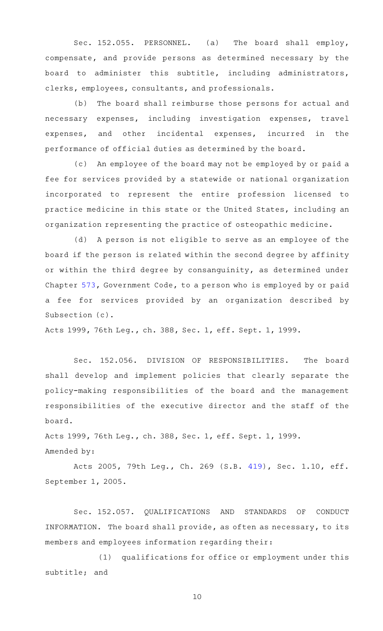Sec. 152.055. PERSONNEL. (a) The board shall employ, compensate, and provide persons as determined necessary by the board to administer this subtitle, including administrators, clerks, employees, consultants, and professionals.

(b) The board shall reimburse those persons for actual and necessary expenses, including investigation expenses, travel expenses, and other incidental expenses, incurred in the performance of official duties as determined by the board.

(c) An employee of the board may not be employed by or paid a fee for services provided by a statewide or national organization incorporated to represent the entire profession licensed to practice medicine in this state or the United States, including an organization representing the practice of osteopathic medicine.

(d) A person is not eligible to serve as an employee of the board if the person is related within the second degree by affinity or within the third degree by consanguinity, as determined under Chapter [573,](http://www.statutes.legis.state.tx.us/GetStatute.aspx?Code=GV&Value=573) Government Code, to a person who is employed by or paid a fee for services provided by an organization described by Subsection (c).

Acts 1999, 76th Leg., ch. 388, Sec. 1, eff. Sept. 1, 1999.

Sec. 152.056. DIVISION OF RESPONSIBILITIES. The board shall develop and implement policies that clearly separate the policy-making responsibilities of the board and the management responsibilities of the executive director and the staff of the board.

Acts 1999, 76th Leg., ch. 388, Sec. 1, eff. Sept. 1, 1999. Amended by:

Acts 2005, 79th Leg., Ch. 269 (S.B. [419](http://www.legis.state.tx.us/tlodocs/79R/billtext/html/SB00419F.HTM)), Sec. 1.10, eff. September 1, 2005.

Sec. 152.057. QUALIFICATIONS AND STANDARDS OF CONDUCT INFORMATION. The board shall provide, as often as necessary, to its members and employees information regarding their:

(1) qualifications for office or employment under this subtitle; and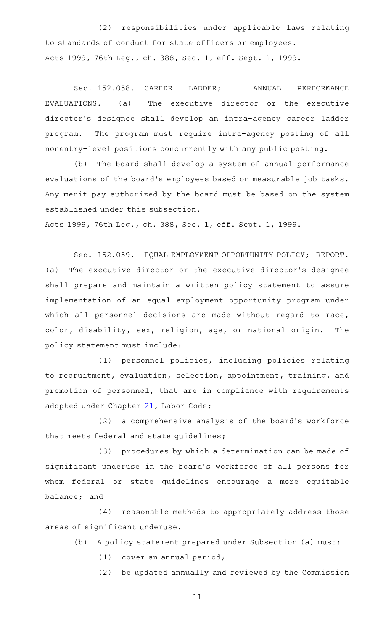(2) responsibilities under applicable laws relating to standards of conduct for state officers or employees. Acts 1999, 76th Leg., ch. 388, Sec. 1, eff. Sept. 1, 1999.

Sec. 152.058. CAREER LADDER; ANNUAL PERFORMANCE EVALUATIONS. (a) The executive director or the executive director 's designee shall develop an intra-agency career ladder program. The program must require intra-agency posting of all nonentry-level positions concurrently with any public posting.

(b) The board shall develop a system of annual performance evaluations of the board's employees based on measurable job tasks. Any merit pay authorized by the board must be based on the system established under this subsection.

Acts 1999, 76th Leg., ch. 388, Sec. 1, eff. Sept. 1, 1999.

Sec. 152.059. EQUAL EMPLOYMENT OPPORTUNITY POLICY; REPORT. (a) The executive director or the executive director 's designee shall prepare and maintain a written policy statement to assure implementation of an equal employment opportunity program under which all personnel decisions are made without regard to race, color, disability, sex, religion, age, or national origin. The policy statement must include:

(1) personnel policies, including policies relating to recruitment, evaluation, selection, appointment, training, and promotion of personnel, that are in compliance with requirements adopted under Chapter [21,](http://www.statutes.legis.state.tx.us/GetStatute.aspx?Code=LA&Value=21) Labor Code;

(2) a comprehensive analysis of the board's workforce that meets federal and state guidelines;

(3) procedures by which a determination can be made of significant underuse in the board 's workforce of all persons for whom federal or state guidelines encourage a more equitable balance; and

(4) reasonable methods to appropriately address those areas of significant underuse.

- (b) A policy statement prepared under Subsection (a) must:
	- (1) cover an annual period;

(2) be updated annually and reviewed by the Commission